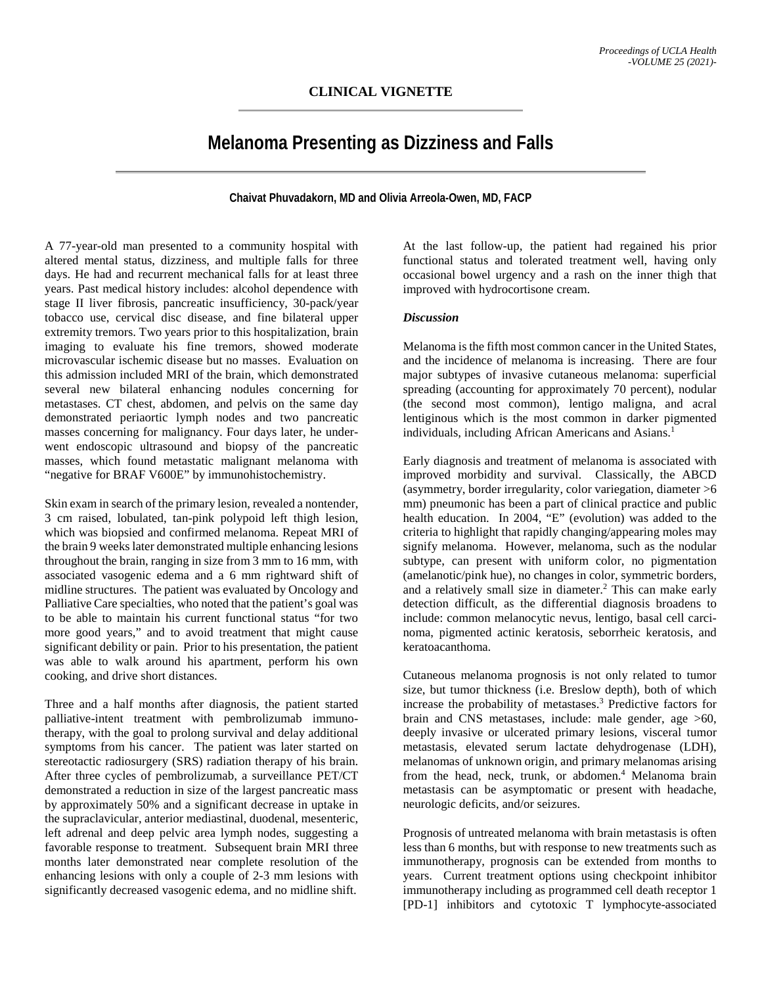## **Melanoma Presenting as Dizziness and Falls**

**Chaivat Phuvadakorn, MD and Olivia Arreola-Owen, MD, FACP**

A 77-year-old man presented to a community hospital with altered mental status, dizziness, and multiple falls for three days. He had and recurrent mechanical falls for at least three years. Past medical history includes: alcohol dependence with stage II liver fibrosis, pancreatic insufficiency, 30-pack/year tobacco use, cervical disc disease, and fine bilateral upper extremity tremors. Two years prior to this hospitalization, brain imaging to evaluate his fine tremors, showed moderate microvascular ischemic disease but no masses. Evaluation on this admission included MRI of the brain, which demonstrated several new bilateral enhancing nodules concerning for metastases. CT chest, abdomen, and pelvis on the same day demonstrated periaortic lymph nodes and two pancreatic masses concerning for malignancy. Four days later, he underwent endoscopic ultrasound and biopsy of the pancreatic masses, which found metastatic malignant melanoma with "negative for BRAF V600E" by immunohistochemistry.

Skin exam in search of the primary lesion, revealed a nontender, 3 cm raised, lobulated, tan-pink polypoid left thigh lesion, which was biopsied and confirmed melanoma. Repeat MRI of the brain 9 weeks later demonstrated multiple enhancing lesions throughout the brain, ranging in size from 3 mm to 16 mm, with associated vasogenic edema and a 6 mm rightward shift of midline structures. The patient was evaluated by Oncology and Palliative Care specialties, who noted that the patient's goal was to be able to maintain his current functional status "for two more good years," and to avoid treatment that might cause significant debility or pain. Prior to his presentation, the patient was able to walk around his apartment, perform his own cooking, and drive short distances.

Three and a half months after diagnosis, the patient started palliative-intent treatment with pembrolizumab immunotherapy, with the goal to prolong survival and delay additional symptoms from his cancer. The patient was later started on stereotactic radiosurgery (SRS) radiation therapy of his brain. After three cycles of pembrolizumab, a surveillance PET/CT demonstrated a reduction in size of the largest pancreatic mass by approximately 50% and a significant decrease in uptake in the supraclavicular, anterior mediastinal, duodenal, mesenteric, left adrenal and deep pelvic area lymph nodes, suggesting a favorable response to treatment. Subsequent brain MRI three months later demonstrated near complete resolution of the enhancing lesions with only a couple of 2-3 mm lesions with significantly decreased vasogenic edema, and no midline shift.

At the last follow-up, the patient had regained his prior functional status and tolerated treatment well, having only occasional bowel urgency and a rash on the inner thigh that improved with hydrocortisone cream.

## *Discussion*

Melanoma is the fifth most common cancer in the United States, and the incidence of melanoma is increasing. There are four major subtypes of invasive cutaneous melanoma: superficial spreading (accounting for approximately 70 percent), nodular (the second most common), lentigo maligna, and acral lentiginous which is the most common in darker pigmented individuals, including African Americans and Asians.<sup>1</sup>

Early diagnosis and treatment of melanoma is associated with improved morbidity and survival. Classically, the ABCD (asymmetry, border irregularity, color variegation, diameter >6 mm) pneumonic has been a part of clinical practice and public health education. In 2004, "E" (evolution) was added to the criteria to highlight that rapidly changing/appearing moles may signify melanoma. However, melanoma, such as the nodular subtype, can present with uniform color, no pigmentation (amelanotic/pink hue), no changes in color, symmetric borders, and a relatively small size in diameter.<sup>2</sup> This can make early detection difficult, as the differential diagnosis broadens to include: common melanocytic nevus, lentigo, basal cell carcinoma, pigmented actinic keratosis, seborrheic keratosis, and keratoacanthoma.

Cutaneous melanoma prognosis is not only related to tumor size, but tumor thickness (i.e. Breslow depth), both of which increase the probability of metastases.3 Predictive factors for brain and CNS metastases, include: male gender, age >60, deeply invasive or ulcerated primary lesions, visceral tumor metastasis, elevated serum lactate dehydrogenase (LDH), melanomas of unknown origin, and primary melanomas arising from the head, neck, trunk, or abdomen.<sup>4</sup> Melanoma brain metastasis can be asymptomatic or present with headache, neurologic deficits, and/or seizures.

Prognosis of untreated melanoma with brain metastasis is often less than 6 months, but with response to new treatments such as immunotherapy, prognosis can be extended from months to years. Current treatment options using checkpoint inhibitor immunotherapy including as programmed cell death receptor 1 [PD-1] inhibitors and cytotoxic T lymphocyte-associated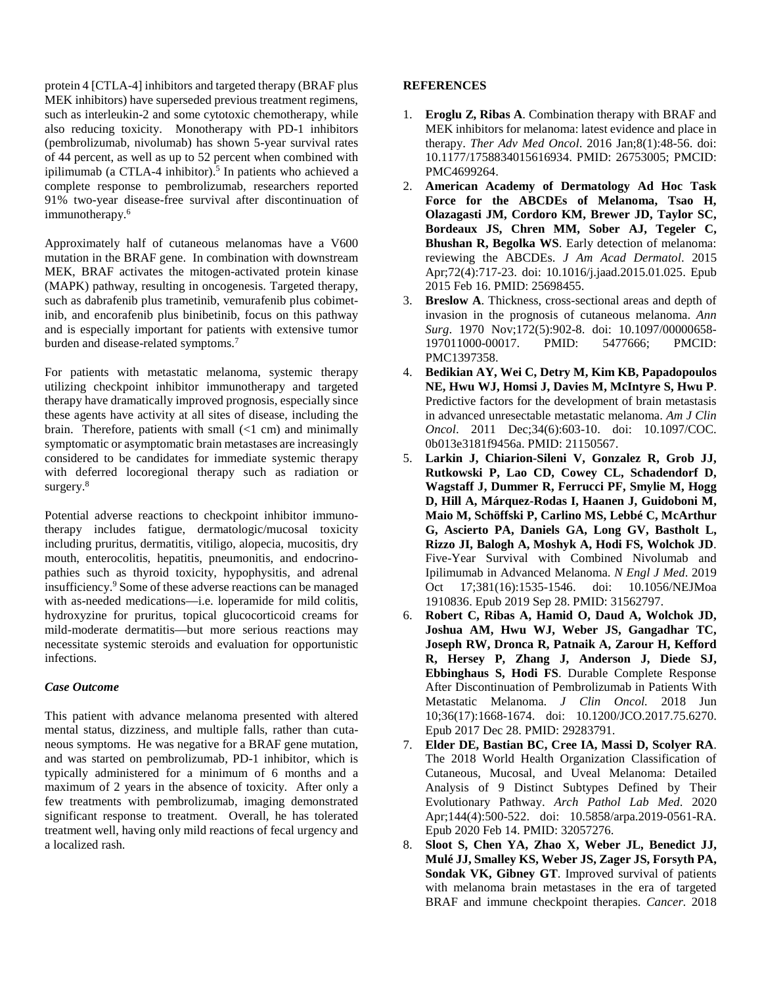protein 4 [CTLA-4] inhibitors and targeted therapy (BRAF plus MEK inhibitors) have superseded previous treatment regimens, such as interleukin-2 and some cytotoxic chemotherapy, while also reducing toxicity. Monotherapy with PD-1 inhibitors (pembrolizumab, nivolumab) has shown 5-year survival rates of 44 percent, as well as up to 52 percent when combined with ipilimumab (a CTLA-4 inhibitor).<sup>5</sup> In patients who achieved a complete response to pembrolizumab, researchers reported 91% two-year disease-free survival after discontinuation of immunotherapy.<sup>6</sup>

Approximately half of cutaneous melanomas have a V600 mutation in the BRAF gene. In combination with downstream MEK, BRAF activates the mitogen-activated protein kinase (MAPK) pathway, resulting in oncogenesis. Targeted therapy, such as dabrafenib plus trametinib, vemurafenib plus cobimetinib, and encorafenib plus binibetinib, focus on this pathway and is especially important for patients with extensive tumor burden and disease-related symptoms.<sup>7</sup>

For patients with metastatic melanoma, systemic therapy utilizing checkpoint inhibitor immunotherapy and targeted therapy have dramatically improved prognosis, especially since these agents have activity at all sites of disease, including the brain. Therefore, patients with small (<1 cm) and minimally symptomatic or asymptomatic brain metastases are increasingly considered to be candidates for immediate systemic therapy with deferred locoregional therapy such as radiation or surgery.<sup>8</sup>

Potential adverse reactions to checkpoint inhibitor immunotherapy includes fatigue, dermatologic/mucosal toxicity including pruritus, dermatitis, vitiligo, alopecia, mucositis, dry mouth, enterocolitis, hepatitis, pneumonitis, and endocrinopathies such as thyroid toxicity, hypophysitis, and adrenal insufficiency.9 Some of these adverse reactions can be managed with as-needed medications—i.e. loperamide for mild colitis, hydroxyzine for pruritus, topical glucocorticoid creams for mild-moderate dermatitis—but more serious reactions may necessitate systemic steroids and evaluation for opportunistic infections.

## *Case Outcome*

This patient with advance melanoma presented with altered mental status, dizziness, and multiple falls, rather than cutaneous symptoms. He was negative for a BRAF gene mutation, and was started on pembrolizumab, PD-1 inhibitor, which is typically administered for a minimum of 6 months and a maximum of 2 years in the absence of toxicity. After only a few treatments with pembrolizumab, imaging demonstrated significant response to treatment. Overall, he has tolerated treatment well, having only mild reactions of fecal urgency and a localized rash.

## **REFERENCES**

- 1. **Eroglu Z, Ribas A**. Combination therapy with BRAF and MEK inhibitors for melanoma: latest evidence and place in therapy. *Ther Adv Med Oncol*. 2016 Jan;8(1):48-56. doi: 10.1177/1758834015616934. PMID: 26753005; PMCID: PMC4699264.
- 2. **American Academy of Dermatology Ad Hoc Task Force for the ABCDEs of Melanoma, Tsao H, Olazagasti JM, Cordoro KM, Brewer JD, Taylor SC, Bordeaux JS, Chren MM, Sober AJ, Tegeler C, Bhushan R, Begolka WS**. Early detection of melanoma: reviewing the ABCDEs. *J Am Acad Dermatol*. 2015 Apr;72(4):717-23. doi: 10.1016/j.jaad.2015.01.025. Epub 2015 Feb 16. PMID: 25698455.
- 3. **Breslow A**. Thickness, cross-sectional areas and depth of invasion in the prognosis of cutaneous melanoma. *Ann Surg*. 1970 Nov;172(5):902-8. doi: 10.1097/00000658-197011000-00017. PMID: 5477666; PMCID: 197011000-00017. PMC1397358.
- 4. **Bedikian AY, Wei C, Detry M, Kim KB, Papadopoulos NE, Hwu WJ, Homsi J, Davies M, McIntyre S, Hwu P**. Predictive factors for the development of brain metastasis in advanced unresectable metastatic melanoma. *Am J Clin Oncol*. 2011 Dec;34(6):603-10. doi: 10.1097/COC. 0b013e3181f9456a. PMID: 21150567.
- 5. **Larkin J, Chiarion-Sileni V, Gonzalez R, Grob JJ, Rutkowski P, Lao CD, Cowey CL, Schadendorf D, Wagstaff J, Dummer R, Ferrucci PF, Smylie M, Hogg D, Hill A, Márquez-Rodas I, Haanen J, Guidoboni M, Maio M, Schöffski P, Carlino MS, Lebbé C, McArthur G, Ascierto PA, Daniels GA, Long GV, Bastholt L, Rizzo JI, Balogh A, Moshyk A, Hodi FS, Wolchok JD**. Five-Year Survival with Combined Nivolumab and Ipilimumab in Advanced Melanoma. *N Engl J Med*. 2019 Oct 17;381(16):1535-1546. doi: 10.1056/NEJMoa 1910836. Epub 2019 Sep 28. PMID: 31562797.
- 6. **Robert C, Ribas A, Hamid O, Daud A, Wolchok JD, Joshua AM, Hwu WJ, Weber JS, Gangadhar TC, Joseph RW, Dronca R, Patnaik A, Zarour H, Kefford R, Hersey P, Zhang J, Anderson J, Diede SJ, Ebbinghaus S, Hodi FS**. Durable Complete Response After Discontinuation of Pembrolizumab in Patients With Metastatic Melanoma. *J Clin Oncol.* 2018 Jun 10;36(17):1668-1674. doi: 10.1200/JCO.2017.75.6270. Epub 2017 Dec 28. PMID: 29283791.
- 7. **Elder DE, Bastian BC, Cree IA, Massi D, Scolyer RA**. The 2018 World Health Organization Classification of Cutaneous, Mucosal, and Uveal Melanoma: Detailed Analysis of 9 Distinct Subtypes Defined by Their Evolutionary Pathway. *Arch Pathol Lab Med*. 2020 Apr;144(4):500-522. doi: 10.5858/arpa.2019-0561-RA. Epub 2020 Feb 14. PMID: 32057276.
- 8. **Sloot S, Chen YA, Zhao X, Weber JL, Benedict JJ, Mulé JJ, Smalley KS, Weber JS, Zager JS, Forsyth PA, Sondak VK, Gibney GT**. Improved survival of patients with melanoma brain metastases in the era of targeted BRAF and immune checkpoint therapies. *Cancer*. 2018